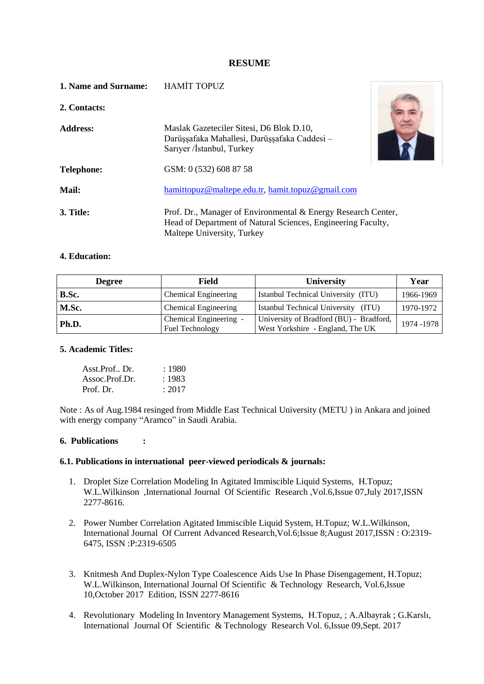## **RESUME**

| 1. Name and Surname: | <b>HAMİT TOPUZ</b>                                                                                                                                          |  |
|----------------------|-------------------------------------------------------------------------------------------------------------------------------------------------------------|--|
| 2. Contacts:         |                                                                                                                                                             |  |
| <b>Address:</b>      | Maslak Gazeteciler Sitesi, D6 Blok D.10,<br>Darüşşafaka Mahallesi, Darüşşafaka Caddesi -<br>Sarıyer /İstanbul, Turkey                                       |  |
| <b>Telephone:</b>    | GSM: 0 (532) 608 87 58                                                                                                                                      |  |
| Mail:                | hamittopuz@maltepe.edu.tr, hamit.topuz@gmail.com                                                                                                            |  |
| 3. Title:            | Prof. Dr., Manager of Environmental & Energy Research Center,<br>Head of Department of Natural Sciences, Engineering Faculty,<br>Maltepe University, Turkey |  |

# **4. Education:**

| <b>Degree</b> | Field                                                       | <b>University</b>                                                           | Year      |
|---------------|-------------------------------------------------------------|-----------------------------------------------------------------------------|-----------|
| B.Sc.         | Chemical Engineering                                        | Istanbul Technical University (ITU)                                         | 1966-1969 |
| M.Sc.         | Chemical Engineering<br>Istanbul Technical University (ITU) |                                                                             | 1970-1972 |
| Ph.D.         | Chemical Engineering<br>Fuel Technology                     | University of Bradford (BU) - Bradford,<br>West Yorkshire - England, The UK | 1974-1978 |

#### **5. Academic Titles:**

| Asst.Prof., Dr. | : 1980 |
|-----------------|--------|
| Assoc.Prof.Dr.  | :1983  |
| Prof. Dr.       | : 2017 |

Note : As of Aug.1984 resinged from Middle East Technical University (METU ) in Ankara and joined with energy company "Aramco" in Saudi Arabia.

## **6. Publications :**

#### **6.1. Publications in international peer-viewed periodicals & journals:**

- 1. Droplet Size Correlation Modeling In Agitated Immiscible Liquid Systems, H.Topuz; W.L.Wilkinson ,International Journal Of Scientific Research ,Vol.6,Issue 07,July 2017,ISSN 2277-8616.
- 2. Power Number Correlation Agitated Immiscible Liquid System, H.Topuz; W.L.Wilkinson, International Journal Of Current Advanced Research,Vol.6;Issue 8;August 2017,ISSN : O:2319- 6475, ISSN :P:2319-6505
- 3. Knitmesh And Duplex-Nylon Type Coalescence Aids Use In Phase Disengagement, H.Topuz; W.L.Wilkinson, International Journal Of Scientific & Technology Research, Vol.6,Issue 10,October 2017 Edition, ISSN 2277-8616
- 4. Revolutionary Modeling In Inventory Management Systems, H.Topuz, ; A.Albayrak ; G.Karslı, International Journal Of Scientific & Technology Research Vol. 6,Issue 09,Sept. 2017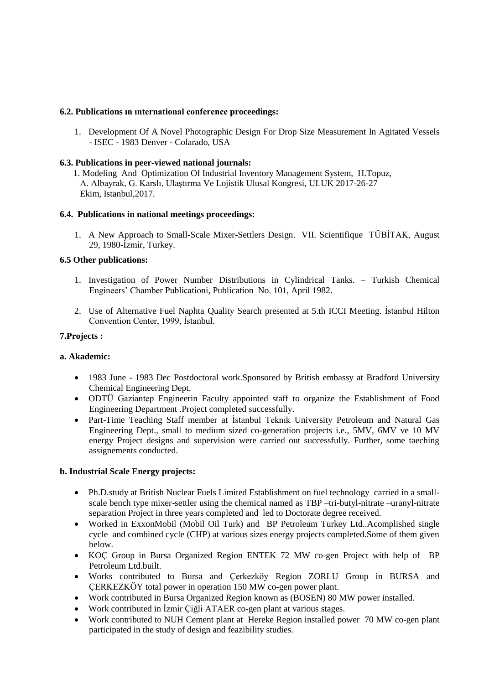# **6.2. Publications ın ınternational conference proceedings:**

1. Development Of A Novel Photographic Design For Drop Size Measurement In Agitated Vessels - ISEC - 1983 Denver - Colarado, USA

## **6.3. Publications in peer-viewed national journals:**

1. Modeling And Optimization Of Industrial Inventory Management System, H.Topuz, A. Albayrak, G. Karslı, Ulaştırma Ve Lojistik Ulusal Kongresi, ULUK 2017-26-27 Ekim, Istanbul,2017.

## **6.4. Publications in national meetings proceedings:**

1. A New Approach to Small-Scale Mixer-Settlers Design. VII. Scientifique TÜBİTAK, August 29, 1980-İzmir, Turkey.

# **6.5 Other publications:**

- 1. Investigation of Power Number Distributions in Cylindrical Tanks. Turkish Chemical Engineers' Chamber Publicationi, Publication No. 101, April 1982.
- 2. Use of Alternative Fuel Naphta Quality Search presented at 5.th ICCI Meeting. İstanbul Hilton Convention Center, 1999, İstanbul.

## **7.Projects :**

## **a. Akademic:**

- 1983 June 1983 Dec Postdoctoral work.Sponsored by British embassy at Bradford University Chemical Engineering Dept.
- ODTÜ Gaziantep Engineerin Faculty appointed staff to organize the Establishment of Food Engineering Department .Project completed successfully.
- Part-Time Teaching Staff member at İstanbul Teknik University Petroleum and Natural Gas Engineering Dept., small to medium sized co-generation projects i.e., 5MV, 6MV ve 10 MV energy Project designs and supervision were carried out successfully. Further, some taeching assignements conducted.

## **b. Industrial Scale Energy projects:**

- Ph.D.study at British Nuclear Fuels Limited Establishment on fuel technology carried in a smallscale bench type mixer-settler using the chemical named as TBP –tri-butyl-nitrate –uranyl-nitrate separation Project in three years completed and led to Doctorate degree received.
- Worked in ExxonMobil (Mobil Oil Turk) and BP Petroleum Turkey Ltd..Acomplished single cycle and combined cycle (CHP) at various sizes energy projects completed.Some of them given below.
- KOC Group in Bursa Organized Region ENTEK 72 MW co-gen Project with help of BP Petroleum Ltd.built.
- Works contributed to Bursa and Çerkezköy Region ZORLU Group in BURSA and ÇERKEZKÖY total power in operation 150 MW co-gen power plant.
- Work contributed in Bursa Organized Region known as (BOSEN) 80 MW power installed.
- Work contributed in İzmir Çiğli ATAER co-gen plant at various stages.
- Work contributed to NUH Cement plant at Hereke Region installed power 70 MW co-gen plant participated in the study of design and feazibility studies.